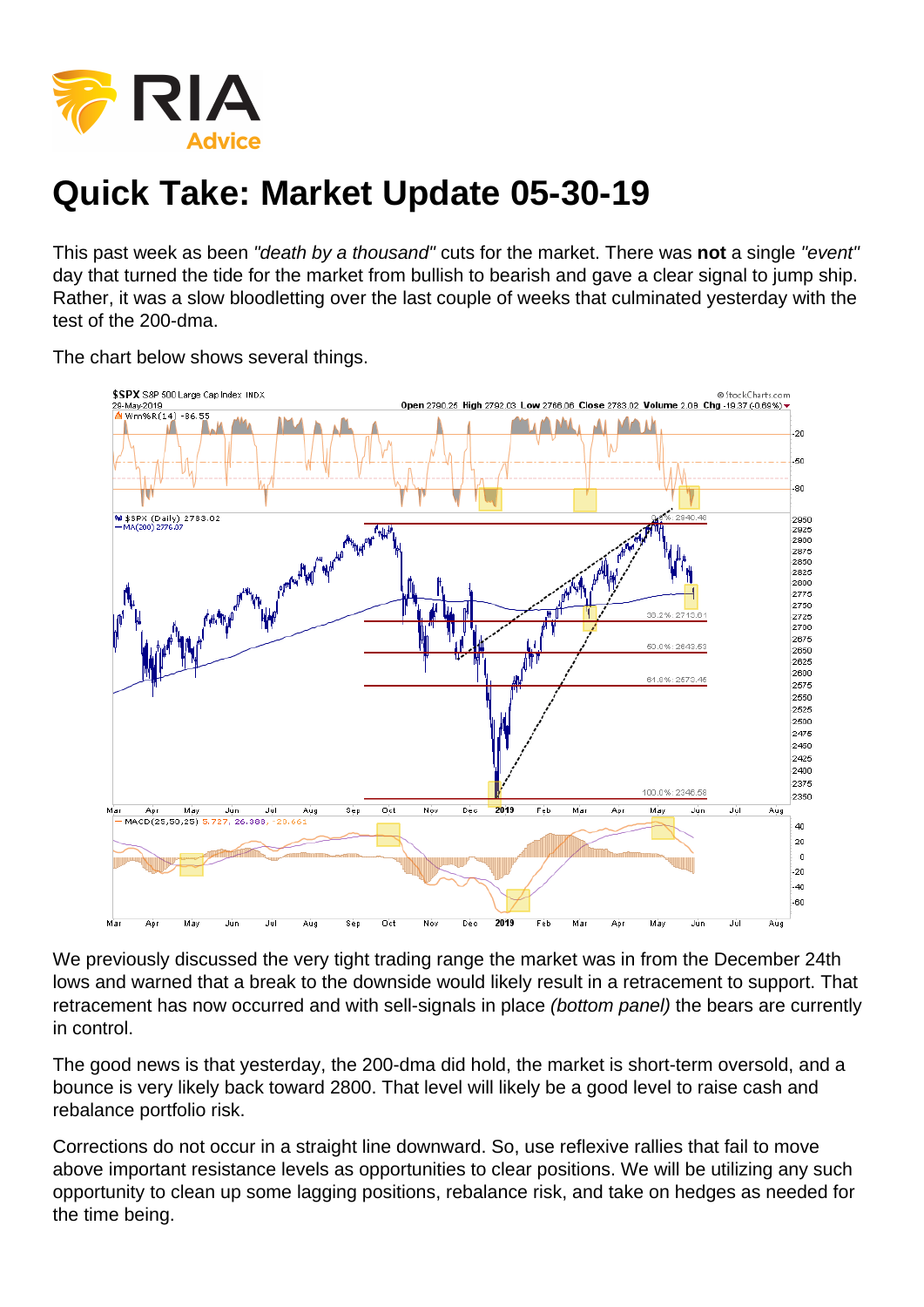## Quick Take: Market Update 05-30-19

This past week as been "death by a thousand" cuts for the market. There was not a single "event" day that turned the tide for the market from bullish to bearish and gave a clear signal to jump ship. Rather, it was a slow bloodletting over the last couple of weeks that culminated yesterday with the test of the 200-dma.

The chart below shows several things.

We previously discussed the very tight trading range the market was in from the December 24th lows and warned that a break to the downside would likely result in a retracement to support. That retracement has now occurred and with sell-signals in place (bottom panel) the bears are currently in control.

The good news is that yesterday, the 200-dma did hold, the market is short-term oversold, and a bounce is very likely back toward 2800. That level will likely be a good level to raise cash and rebalance portfolio risk.

Corrections do not occur in a straight line downward. So, use reflexive rallies that fail to move above important resistance levels as opportunities to clear positions. We will be utilizing any such opportunity to clean up some lagging positions, rebalance risk, and take on hedges as needed for the time being.